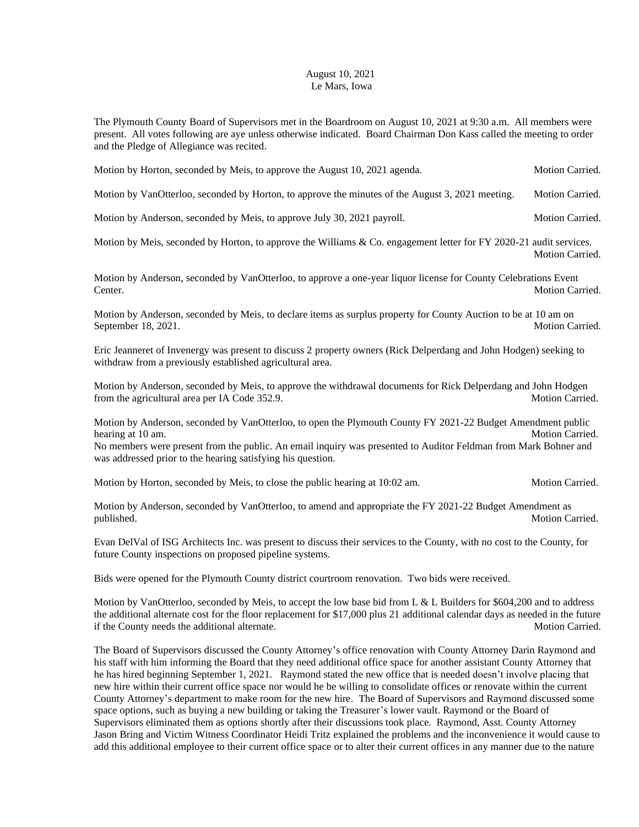## August 10, 2021 Le Mars, Iowa

The Plymouth County Board of Supervisors met in the Boardroom on August 10, 2021 at 9:30 a.m. All members were present. All votes following are aye unless otherwise indicated. Board Chairman Don Kass called the meeting to order and the Pledge of Allegiance was recited.

| Motion by Horton, seconded by Meis, to approve the August 10, 2021 agenda. | <b>Motion Carried.</b> |
|----------------------------------------------------------------------------|------------------------|
|----------------------------------------------------------------------------|------------------------|

Motion by VanOtterloo, seconded by Horton, to approve the minutes of the August 3, 2021 meeting. Motion Carried.

Motion by Anderson, seconded by Meis, to approve July 30, 2021 payroll. Motion Carried.

Motion by Meis, seconded by Horton, to approve the Williams & Co. engagement letter for FY 2020-21 audit services. Motion Carried.

Motion by Anderson, seconded by VanOtterloo, to approve a one-year liquor license for County Celebrations Event Center. Motion Carried.

Motion by Anderson, seconded by Meis, to declare items as surplus property for County Auction to be at 10 am on September 18, 2021. Motion Carried.

Eric Jeanneret of Invenergy was present to discuss 2 property owners (Rick Delperdang and John Hodgen) seeking to withdraw from a previously established agricultural area.

Motion by Anderson, seconded by Meis, to approve the withdrawal documents for Rick Delperdang and John Hodgen from the agricultural area per IA Code 352.9. Motion Carried.

Motion by Anderson, seconded by VanOtterloo, to open the Plymouth County FY 2021-22 Budget Amendment public hearing at 10 am. Motion Carried. No members were present from the public. An email inquiry was presented to Auditor Feldman from Mark Bohner and was addressed prior to the hearing satisfying his question.

Motion by Horton, seconded by Meis, to close the public hearing at 10:02 am. Motion Carried.

Motion by Anderson, seconded by VanOtterloo, to amend and appropriate the FY 2021-22 Budget Amendment as published. Motion Carried.

Evan DelVal of ISG Architects Inc. was present to discuss their services to the County, with no cost to the County, for future County inspections on proposed pipeline systems.

Bids were opened for the Plymouth County district courtroom renovation. Two bids were received.

Motion by VanOtterloo, seconded by Meis, to accept the low base bid from L & L Builders for \$604,200 and to address the additional alternate cost for the floor replacement for \$17,000 plus 21 additional calendar days as needed in the future<br>if the County needs the additional alternate. if the County needs the additional alternate.

The Board of Supervisors discussed the County Attorney's office renovation with County Attorney Darin Raymond and his staff with him informing the Board that they need additional office space for another assistant County Attorney that he has hired beginning September 1, 2021. Raymond stated the new office that is needed doesn't involve placing that new hire within their current office space nor would he be willing to consolidate offices or renovate within the current County Attorney's department to make room for the new hire. The Board of Supervisors and Raymond discussed some space options, such as buying a new building or taking the Treasurer's lower vault. Raymond or the Board of Supervisors eliminated them as options shortly after their discussions took place. Raymond, Asst. County Attorney Jason Bring and Victim Witness Coordinator Heidi Tritz explained the problems and the inconvenience it would cause to add this additional employee to their current office space or to alter their current offices in any manner due to the nature